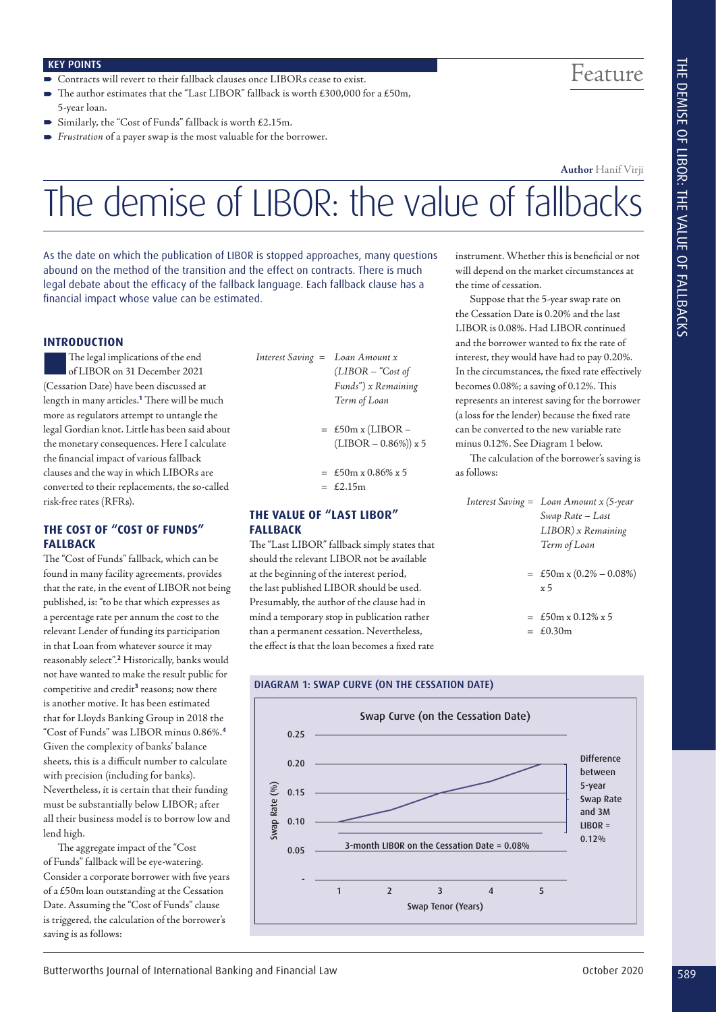### KEY POINTS

- Contracts will revert to their fallback clauses once LIBORs cease to exist.
- The author estimates that the "Last LIBOR" fallback is worth £300,000 for a £50m. 5-year loan.
- Similarly, the "Cost of Funds" fallback is worth £2.15m.
- *Frustration* of a payer swap is the most valuable for the borrower.

**Author** Hanif Virji

Feature

# The demise of LIBOR: the value of fallbacks

As the date on which the publication of LIBOR is stopped approaches, many questions abound on the method of the transition and the effect on contracts. There is much legal debate about the efficacy of the fallback language. Each fallback clause has a financial impact whose value can be estimated.

### **INTRODUCTION**

The legal implications of the end<br>of LIBOR on 31 December 2021 (Cessation Date) have been discussed at length in many articles.**<sup>1</sup>** There will be much more as regulators attempt to untangle the legal Gordian knot. Little has been said about the monetary consequences. Here I calculate the financial impact of various fallback clauses and the way in which LIBORs are converted to their replacements, the so-called risk-free rates (RFRs).

# **THE COST OF "COST OF FUNDS" FALLBACK**

The "Cost of Funds" fallback, which can be found in many facility agreements, provides that the rate, in the event of LIBOR not being published, is: "to be that which expresses as a percentage rate per annum the cost to the relevant Lender of funding its participation in that Loan from whatever source it may reasonably select".**<sup>2</sup>** Historically, banks would not have wanted to make the result public for competitive and credit<sup>3</sup> reasons; now there is another motive. It has been estimated that for Lloyds Banking Group in 2018 the "Cost of Funds" was LIBOR minus 0.86%.**<sup>4</sup>** Given the complexity of banks' balance sheets, this is a difficult number to calculate with precision (including for banks). Nevertheless, it is certain that their funding must be substantially below LIBOR; after all their business model is to borrow low and lend high.

The aggregate impact of the "Cost of Funds" fallback will be eye-watering. Consider a corporate borrower with five years of a £50m loan outstanding at the Cessation Date. Assuming the "Cost of Funds" clause is triggered, the calculation of the borrower's saving is as follows:

- *Interest Saving = Loan Amount x (LIBOR – "Cost of Funds") x Remaining Term of Loan*
	- $=$  £50m x (LIBOR  $(LIBOR - 0.86%)$ ) x 5
	- $=$  £50m x 0.86% x 5 = £2.15m

# **THE VALUE OF "LAST LIBOR" FALLBACK**

The "Last LIBOR" fallback simply states that should the relevant LIBOR not be available at the beginning of the interest period, the last published LIBOR should be used. Presumably, the author of the clause had in mind a temporary stop in publication rather than a permanent cessation. Nevertheless, the effect is that the loan becomes a fixed rate

instrument. Whether this is beneficial or not will depend on the market circumstances at the time of cessation.

Suppose that the 5-year swap rate on the Cessation Date is 0.20% and the last LIBOR is 0.08%. Had LIBOR continued and the borrower wanted to fix the rate of interest, they would have had to pay 0.20%. In the circumstances, the fixed rate effectively becomes 0.08%; a saving of 0.12%. This represents an interest saving for the borrower (a loss for the lender) because the fixed rate can be converted to the new variable rate minus 0.12%. See Diagram 1 below.

The calculation of the borrower's saving is as follows:

| Interest Saving = Loan Amount x (5-year |
|-----------------------------------------|
| Swap Rate – Last                        |
| $LIBOR$ ) x Remaining                   |
| Term of Loan                            |

- $=$  £50m x (0.2% 0.08%) x 5
- $=$  £50m x 0.12% x 5
- = £0.30m

#### DIAGRAM 1: SWAP CURVE (ON THE CESSATION DATE)

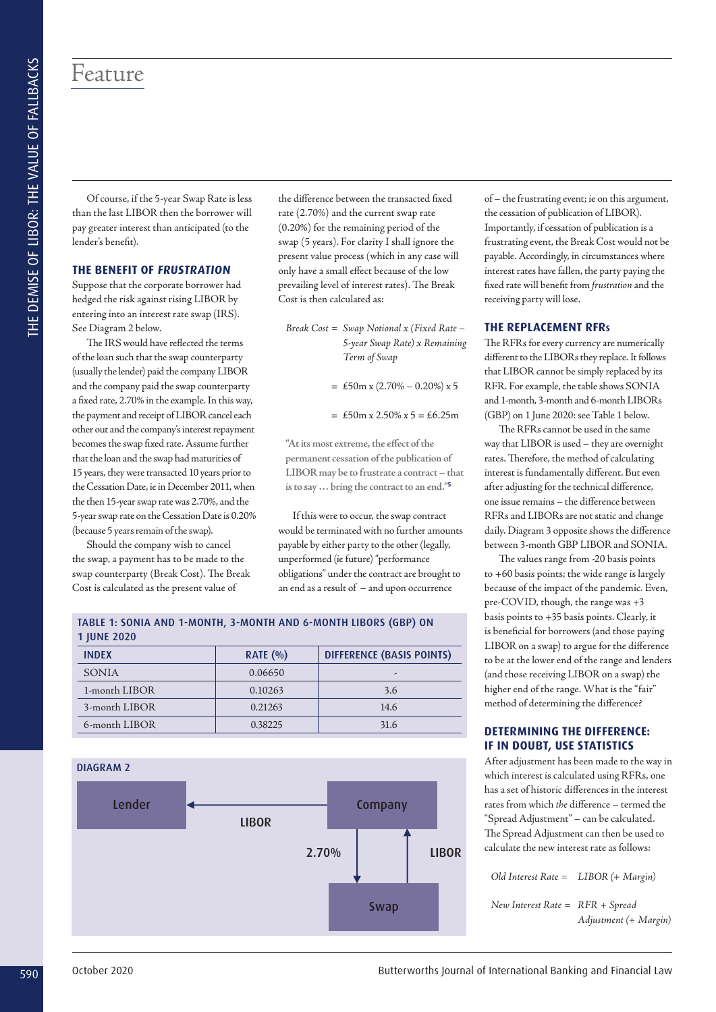# Feature

Of course, if the 5-year Swap Rate is less than the last LIBOR then the borrower will pay greater interest than anticipated (to the lender's benefit).

# **THE BENEFIT OF FRUSTRATION**

Suppose that the corporate borrower had hedged the risk against rising LIBOR by entering into an interest rate swap (IRS). See Diagram 2 below.

The IRS would have reflected the terms of the loan such that the swap counterparty (usually the lender) paid the company LIBOR and the company paid the swap counterparty a fixed rate, 2.70% in the example. In this way, the payment and receipt of LIBOR cancel each other out and the company's interest repayment becomes the swap fixed rate. Assume further that the loan and the swap had maturities of 15 years, they were transacted 10 years prior to the Cessation Date, ie in December 2011, when the then 15-year swap rate was 2.70%, and the 5-year swap rate on the Cessation Date is 0.20% (because 5 years remain of the swap).

Should the company wish to cancel the swap, a payment has to be made to the swap counterparty (Break Cost). The Break Cost is calculated as the present value of

the difference between the transacted fixed rate (2.70%) and the current swap rate (0.20%) for the remaining period of the swap (5 years). For clarity I shall ignore the present value process (which in any case will only have a small effect because of the low prevailing level of interest rates). The Break Cost is then calculated as:

*Break Cost = Swap Notional x (Fixed Rate – 5-year Swap Rate) x Remaining Term of Swap*

 $=$  £50m x (2.70% – 0.20%) x 5

 $=$  £50m x 2.50% x 5 = £6.25m

**"At its most extreme, the effect of the permanent cessation of the publication of LIBOR may be to frustrate a contract – that is to say … bring the contract to an end."<sup>5</sup>**

If this were to occur, the swap contract would be terminated with no further amounts payable by either party to the other (legally, unperformed (ie future) "performance obligations" under the contract are brought to an end as a result of – and upon occurrence

| TABLE 1: SONIA AND 1-MONTH, 3-MONTH AND 6-MONTH LIBORS (GBP) ON |  |  |
|-----------------------------------------------------------------|--|--|
| <b>1 JUNE 2020</b>                                              |  |  |

| <b>INDEX</b>  | <b>RATE (%)</b> | <b>DIFFERENCE (BASIS POINTS)</b> |
|---------------|-----------------|----------------------------------|
| <b>SONIA</b>  | 0.06650         |                                  |
| 1-month LIBOR | 0.10263         | 3.6                              |
| 3-month LIBOR | 0.21263         | 14.6                             |
| 6-month LIBOR | 0.38225         | 31.6                             |



of – the frustrating event; ie on this argument, the cessation of publication of LIBOR). Importantly, if cessation of publication is a frustrating event, the Break Cost would not be payable. Accordingly, in circumstances where interest rates have fallen, the party paying the fixed rate will benefit from *frustration* and the receiving party will lose.

# **THE REPLACEMENT RFR<sup>s</sup>**

The RFRs for every currency are numerically different to the LIBORs they replace. It follows that LIBOR cannot be simply replaced by its RFR. For example, the table shows SONIA and 1-month, 3-month and 6-month LIBORs (GBP) on 1 June 2020: see Table 1 below.

The RFRs cannot be used in the same way that LIBOR is used – they are overnight rates. Therefore, the method of calculating interest is fundamentally different. But even after adjusting for the technical difference, one issue remains – the difference between RFRs and LIBORs are not static and change daily. Diagram 3 opposite shows the difference between 3-month GBP LIBOR and SONIA.

The values range from -20 basis points to +60 basis points; the wide range is largely because of the impact of the pandemic. Even, pre-COVID, though, the range was +3 basis points to +35 basis points. Clearly, it is beneficial for borrowers (and those paying LIBOR on a swap) to argue for the difference to be at the lower end of the range and lenders (and those receiving LIBOR on a swap) the higher end of the range. What is the "fair" method of determining the difference?

# **DETERMINING THE DIFFERENCE: IF IN DOUBT, USE STATISTICS**

After adjustment has been made to the way in which interest is calculated using RFRs, one has a set of historic differences in the interest rates from which *the* difference – termed the "Spread Adjustment" – can be calculated. The Spread Adjustment can then be used to calculate the new interest rate as follows:

*Old Interest Rate = LIBOR (+ Margin)*

*New Interest Rate = RFR + Spread Adjustment (+ Margin)*